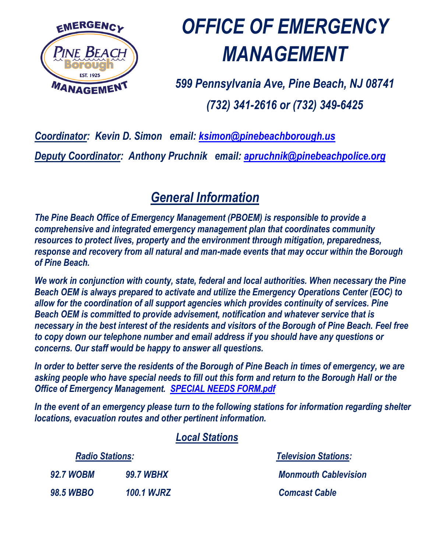

# *OFFICE OF EMERGENCY MANAGEMENT*

*599 Pennsylvania Ave, Pine Beach, NJ 08741 (732) 341-2616 or (732) 349-6425*

### *Coordinator: Kevin D. Simon email: [ksimon@pinebeachborough.us](mailto:ksimon@pinebeachborough.us)*

*Deputy Coordinator: Anthony Pruchnik email: [apruchnik@pinebeachpolice.org](mailto:apruchnik@pinebeachpolice.org)*

### *General Information*

*The Pine Beach Office of Emergency Management (PBOEM) is responsible to provide a comprehensive and integrated emergency management plan that coordinates community resources to protect lives, property and the environment through mitigation, preparedness, response and recovery from all natural and man-made events that may occur within the Borough of Pine Beach.*

*We work in conjunction with county, state, federal and local authorities. When necessary the Pine Beach OEM is always prepared to activate and utilize the Emergency Operations Center (EOC) to allow for the coordination of all support agencies which provides continuity of services. Pine Beach OEM is committed to provide advisement, notification and whatever service that is necessary in the best interest of the residents and visitors of the Borough of Pine Beach. Feel free to copy down our telephone number and email address if you should have any questions or concerns. Our staff would be happy to answer all questions.*

*In order to better serve the residents of the Borough of Pine Beach in times of emergency, we are asking people who have special needs to fill out this form and return to the Borough Hall or the Office of Emergency Management. [SPECIAL NEEDS FORM.pdf](http://pinebeachborough.us/SPECIAL%20NEEDS%20FORM.pdf)*

*In the event of an emergency please turn to the following stations for information regarding shelter locations, evacuation routes and other pertinent information.*

#### *Local Stations*

| <b>Radio Stations:</b> |                   |  |
|------------------------|-------------------|--|
| <b>92.7 WOBM</b>       | <b>99.7 WBHX</b>  |  |
| <b>98.5 WBBO</b>       | <b>100.1 WJRZ</b> |  |

*Radio Stations: Television Stations: 92.7 WOBM 99.7 WBHX Monmouth Cablevision* *Comcast Cable*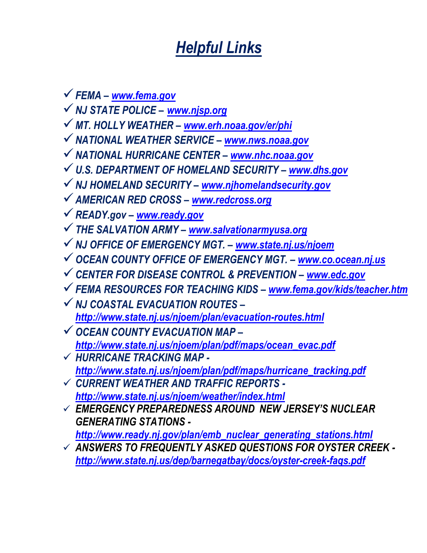# *Helpful Links*

*FEMA – [www.fema.gov](http://www.fema.gov/)*

- *NJ STATE POLICE – [www.njsp.org](http://www.njsp.org/)*
- *MT. HOLLY WEATHER – [www.erh.noaa.gov/er/phi](http://www.erh.noaa.gov/er/phi)*
- *NATIONAL WEATHER SERVICE – [www.nws.noaa.gov](http://www.nws.noaa.gov/)*
- *NATIONAL HURRICANE CENTER – [www.nhc.noaa.gov](http://www.nhc.noaa.gov/)*
- *U.S. DEPARTMENT OF HOMELAND SECURITY – [www.dhs.gov](http://www.dhs.gov/)*
- *NJ HOMELAND SECURITY – [www.njhomelandsecurity.gov](http://www.njhomelandsecurity.gov/)*
- *AMERICAN RED CROSS – [www.redcross.org](http://www.redcross.org/)*
- *READY.gov – [www.ready.gov](http://www.ready.gov/)*
- *THE SALVATION ARMY – [www.salvationarmyusa.org](http://www.salvationarmyusa.org/)*
- *NJ OFFICE OF EMERGENCY MGT. – [www.state.nj.us/njoem](http://www.state.nj.us/njoem)*
- *OCEAN COUNTY OFFICE OF EMERGENCY MGT. – [www.co.ocean.nj.us](http://www.co.ocean.nj.us/)*
- *CENTER FOR DISEASE CONTROL & PREVENTION – [www.edc.gov](http://www.edc.gov/)*
- *FEMA RESOURCES FOR TEACHING KIDS – [www.fema.gov/kids/teacher.htm](http://www.fema.gov/kids/teacher.htm)*
- *NJ COASTAL EVACUATION ROUTES – <http://www.state.nj.us/njoem/plan/evacuation-routes.html>*
- *OCEAN COUNTY EVACUATION MAP – [http://www.state.nj.us/njoem/plan/pdf/maps/ocean\\_evac.pdf](http://www.state.nj.us/njoem/plan/pdf/maps/ocean_evac.pdf)*
- *HURRICANE TRACKING MAP [http://www.state.nj.us/njoem/plan/pdf/maps/hurricane\\_tracking.pdf](http://www.state.nj.us/njoem/plan/pdf/maps/hurricane_tracking.pdf)*
- *CURRENT WEATHER AND TRAFFIC REPORTS <http://www.state.nj.us/njoem/weather/index.html>*
- *EMERGENCY PREPAREDNESS AROUND NEW JERSEY'S NUCLEAR GENERATING STATIONS [http://www.ready.nj.gov/plan/emb\\_nuclear\\_generating\\_stations.html](http://www.ready.nj.gov/plan/emb_nuclear_generating_stations.html)*
- *ANSWERS TO FREQUENTLY ASKED QUESTIONS FOR OYSTER CREEK <http://www.state.nj.us/dep/barnegatbay/docs/oyster-creek-faqs.pdf>*